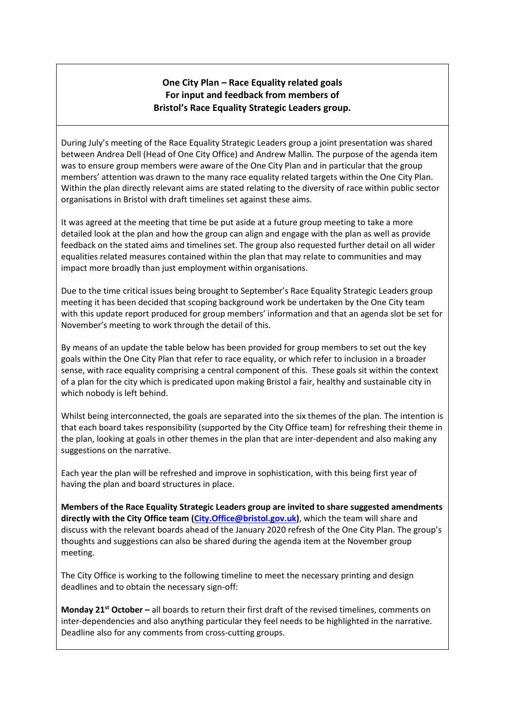## **One City Plan – Race Equality related goals For input and feedback from members of Bristol's Race Equality Strategic Leaders group.**

During July's meeting of the Race Equality Strategic Leaders group a joint presentation was shared between Andrea Dell (Head of One City Office) and Andrew Mallin. The purpose of the agenda item was to ensure group members were aware of the One City Plan and in particular that the group members' attention was drawn to the many race equality related targets within the One City Plan. Within the plan directly relevant aims are stated relating to the diversity of race within public sector organisations in Bristol with draft timelines set against these aims.

It was agreed at the meeting that time be put aside at a future group meeting to take a more detailed look at the plan and how the group can align and engage with the plan as well as provide feedback on the stated aims and timelines set. The group also requested further detail on all wider equalities related measures contained within the plan that may relate to communities and may impact more broadly than just employment within organisations.

Due to the time critical issues being brought to September's Race Equality Strategic Leaders group meeting it has been decided that scoping background work be undertaken by the One City team with this update report produced for group members' information and that an agenda slot be set for November's meeting to work through the detail of this.

By means of an update the table below has been provided for group members to set out the key goals within the One City Plan that refer to race equality, or which refer to inclusion in a broader sense, with race equality comprising a central component of this. These goals sit within the context of a plan for the city which is predicated upon making Bristol a fair, healthy and sustainable city in which nobody is left behind.

Whilst being interconnected, the goals are separated into the six themes of the plan. The intention is that each board takes responsibility (supported by the City Office team) for refreshing their theme in the plan, looking at goals in other themes in the plan that are inter-dependent and also making any suggestions on the narrative.

Each year the plan will be refreshed and improve in sophistication, with this being first year of having the plan and board structures in place.

**Members of the Race Equality Strategic Leaders group are invited to share suggested amendments directly with the City Office team [\(City.Office@bristol.gov.uk\)](mailto:City.Office@bristol.gov.uk)**, which the team will share and discuss with the relevant boards ahead of the January 2020 refresh of the One City Plan. The group's thoughts and suggestions can also be shared during the agenda item at the November group meeting.

The City Office is working to the following timeline to meet the necessary printing and design deadlines and to obtain the necessary sign-off:

**Monday 21st October –** all boards to return their first draft of the revised timelines, comments on inter-dependencies and also anything particular they feel needs to be highlighted in the narrative. Deadline also for any comments from cross-cutting groups.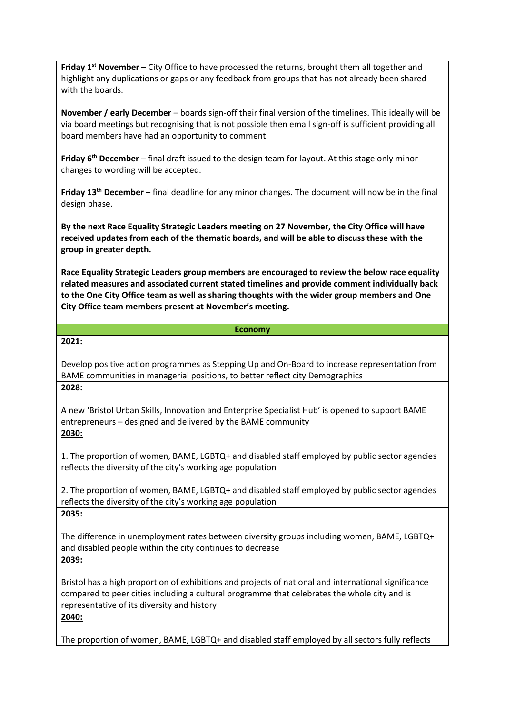**Friday 1st November** – City Office to have processed the returns, brought them all together and highlight any duplications or gaps or any feedback from groups that has not already been shared with the boards.

**November / early December** – boards sign-off their final version of the timelines. This ideally will be via board meetings but recognising that is not possible then email sign-off is sufficient providing all board members have had an opportunity to comment.

**Friday 6th December** – final draft issued to the design team for layout. At this stage only minor changes to wording will be accepted.

**Friday 13th December** – final deadline for any minor changes. The document will now be in the final design phase.

**By the next Race Equality Strategic Leaders meeting on 27 November, the City Office will have received updates from each of the thematic boards, and will be able to discuss these with the group in greater depth.**

**Race Equality Strategic Leaders group members are encouraged to review the below race equality related measures and associated current stated timelines and provide comment individually back to the One City Office team as well as sharing thoughts with the wider group members and One City Office team members present at November's meeting.**

## **Economy**

**2021:**

Develop positive action programmes as Stepping Up and On-Board to increase representation from BAME communities in managerial positions, to better reflect city Demographics **2028:**

A new 'Bristol Urban Skills, Innovation and Enterprise Specialist Hub' is opened to support BAME entrepreneurs – designed and delivered by the BAME community **2030:**

1. The proportion of women, BAME, LGBTQ+ and disabled staff employed by public sector agencies reflects the diversity of the city's working age population

2. The proportion of women, BAME, LGBTQ+ and disabled staff employed by public sector agencies reflects the diversity of the city's working age population

**2035:**

The difference in unemployment rates between diversity groups including women, BAME, LGBTQ+ and disabled people within the city continues to decrease

**2039:**

Bristol has a high proportion of exhibitions and projects of national and international significance compared to peer cities including a cultural programme that celebrates the whole city and is representative of its diversity and history

**2040:**

The proportion of women, BAME, LGBTQ+ and disabled staff employed by all sectors fully reflects